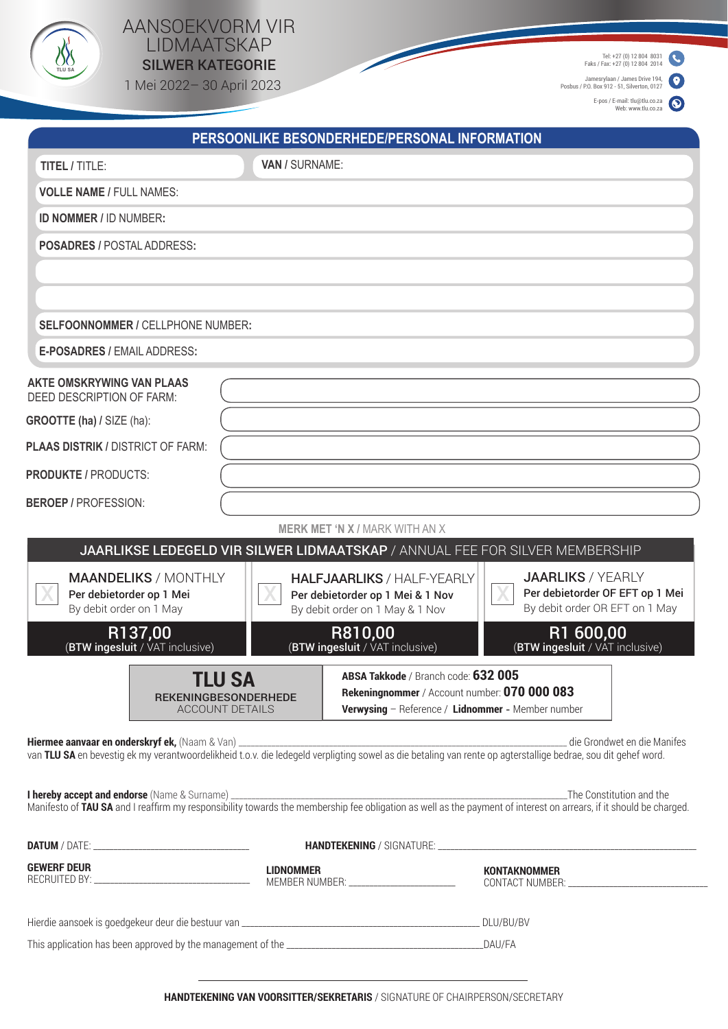

## AANSOEKVORM VIR LIDMAATSKAP  $\bigvee_{\text{\tiny{nu}\,ss}}^{\text{\tiny{(N)}}}$  LIDMAA I SKAP

1 Mei 2022– 30 April 2023

Tel: +27 (0) 12 804 8031 Faks / Fax: +27 (0) 12 804 2014

Jamesrylaan / James Drive 194, Posbus / P.O. Box 912 - 51, Silverton, 0127

E-pos / E-mail: tlu@tlu.co.za Web: www.tlu.co.za

|                                                                                    |                                                                                                                                                                                                             | PERSOONLIKE BESONDERHEDE/PERSONAL INFORMATION                                                            |                                                                                                                                                                                              |
|------------------------------------------------------------------------------------|-------------------------------------------------------------------------------------------------------------------------------------------------------------------------------------------------------------|----------------------------------------------------------------------------------------------------------|----------------------------------------------------------------------------------------------------------------------------------------------------------------------------------------------|
| <b>TITEL / TITLE:</b>                                                              | VAN / SURNAME:                                                                                                                                                                                              |                                                                                                          |                                                                                                                                                                                              |
| <b>VOLLE NAME / FULL NAMES:</b>                                                    |                                                                                                                                                                                                             |                                                                                                          |                                                                                                                                                                                              |
| <b>ID NOMMER / ID NUMBER:</b>                                                      |                                                                                                                                                                                                             |                                                                                                          |                                                                                                                                                                                              |
| <b>POSADRES / POSTAL ADDRESS:</b>                                                  |                                                                                                                                                                                                             |                                                                                                          |                                                                                                                                                                                              |
|                                                                                    |                                                                                                                                                                                                             |                                                                                                          |                                                                                                                                                                                              |
| SELFOONNOMMER / CELLPHONE NUMBER:                                                  |                                                                                                                                                                                                             |                                                                                                          |                                                                                                                                                                                              |
| <b>E-POSADRES / EMAIL ADDRESS:</b>                                                 |                                                                                                                                                                                                             |                                                                                                          |                                                                                                                                                                                              |
| <b>AKTE OMSKRYWING VAN PLAAS</b><br>DEED DESCRIPTION OF FARM:                      |                                                                                                                                                                                                             |                                                                                                          |                                                                                                                                                                                              |
| <b>GROOTTE (ha) / SIZE (ha):</b>                                                   |                                                                                                                                                                                                             |                                                                                                          |                                                                                                                                                                                              |
| PLAAS DISTRIK / DISTRICT OF FARM:                                                  |                                                                                                                                                                                                             |                                                                                                          |                                                                                                                                                                                              |
| <b>PRODUKTE / PRODUCTS:</b>                                                        |                                                                                                                                                                                                             |                                                                                                          |                                                                                                                                                                                              |
| <b>BEROEP / PROFESSION:</b>                                                        |                                                                                                                                                                                                             |                                                                                                          |                                                                                                                                                                                              |
|                                                                                    |                                                                                                                                                                                                             | <b>MERK MET 'N X / MARK WITH AN X</b>                                                                    |                                                                                                                                                                                              |
|                                                                                    |                                                                                                                                                                                                             |                                                                                                          | JAARLIKSE LEDEGELD VIR SILWER LIDMAATSKAP / ANNUAL FEE FOR SILVER MEMBERSHIP                                                                                                                 |
| <b>MAANDELIKS / MONTHLY</b><br>Per debietorder op 1 Mei<br>By debit order on 1 May |                                                                                                                                                                                                             | <b>HALFJAARLIKS / HALF-YEARLY</b><br>Per debietorder op 1 Mei & 1 Nov<br>By debit order on 1 May & 1 Nov | <b>JAARLIKS / YEARLY</b><br>Per debietorder OF EFT op 1 Mei<br>By debit order OR EFT on 1 May                                                                                                |
| R137,00<br>(BTW ingesluit / VAT inclusive)                                         |                                                                                                                                                                                                             | R810,00<br>(BTW ingesluit / VAT inclusive)                                                               | R1 600,00<br>(BTW ingesluit / VAT inclusive)                                                                                                                                                 |
|                                                                                    | ABSA Takkode / Branch code: 632 005<br>TLU SA<br>Rekeningnommer / Account number: 070 000 083<br><b>REKENINGBESONDERHEDE</b><br>Verwysing - Reference / Lidnommer - Member number<br><b>ACCOUNT DETAILS</b> |                                                                                                          |                                                                                                                                                                                              |
| Hiermee aanvaar en onderskryf ek, (Naam & Van) ______________                      |                                                                                                                                                                                                             |                                                                                                          | die Grondwet en die Manifes<br>van TLU SA en bevestig ek my verantwoordelikheid t.o.v. die ledegeld verpligting sowel as die betaling van rente op agterstallige bedrae, sou dit gehef word. |
|                                                                                    |                                                                                                                                                                                                             |                                                                                                          |                                                                                                                                                                                              |
|                                                                                    |                                                                                                                                                                                                             |                                                                                                          |                                                                                                                                                                                              |
| <b>GEWERF DEUR</b>                                                                 | <b>LIDNOMMER</b>                                                                                                                                                                                            | MEMBER NUMBER: _____________________________                                                             | <b>KONTAKNOMMER</b>                                                                                                                                                                          |
|                                                                                    |                                                                                                                                                                                                             |                                                                                                          |                                                                                                                                                                                              |
|                                                                                    |                                                                                                                                                                                                             |                                                                                                          |                                                                                                                                                                                              |